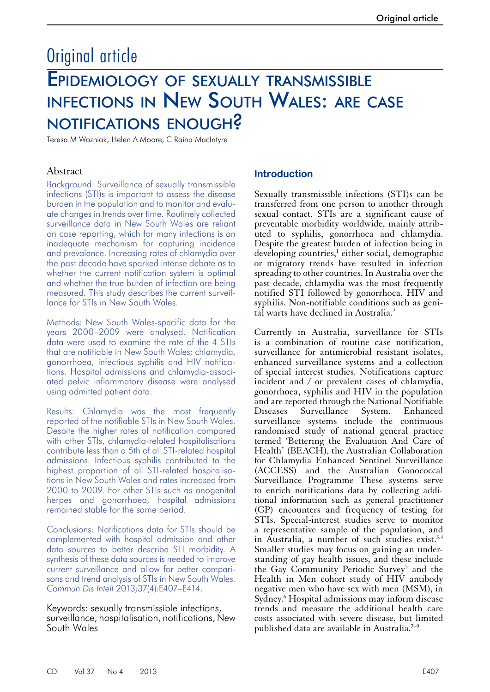# Original article Epidemiology of sexually transmissible infections in New South Wales: are case notifications enough?

Teresa M Wozniak, Helen A Moore, C Raina MacIntyre

# Abstract

Background: Surveillance of sexually transmissible infections (STI)s is important to assess the disease burden in the population and to monitor and evaluate changes in trends over time. Routinely collected surveillance data in New South Wales are reliant on case reporting, which for many infections is an inadequate mechanism for capturing incidence and prevalence. Increasing rates of chlamydia over the past decade have sparked intense debate as to whether the current notification system is optimal and whether the true burden of infection are being measured. This study describes the current surveillance for STIs in New South Wales.

Methods: New South Wales-specific data for the years 2000–2009 were analysed. Notification data were used to examine the rate of the 4 STIs that are notifiable in New South Wales; chlamydia, gonorrhoea, infectious syphilis and HIV notifications. Hospital admissions and chlamydia-associated pelvic inflammatory disease were analysed using admitted patient data.

Results: Chlamydia was the most frequently reported of the notifiable STIs in New South Wales. Despite the higher rates of notification compared with other STIs, chlamydia-related hospitalisations contribute less than a 5th of all STI-related hospital admissions. Infectious syphilis contributed to the highest proportion of all STI-related hospitalisations in New South Wales and rates increased from 2000 to 2009. For other STIs such as anogenital herpes and gonorrhoea, hospital admissions remained stable for the same period.

Conclusions: Notifications data for STIs should be complemented with hospital admission and other data sources to better describe STI morbidity. A synthesis of these data sources is needed to improve current surveillance and allow for better comparisons and trend analysis of STIs in New South Wales. *Commun Dis Intell* 2013;37(4):E407–E414.

Keywords: sexually transmissible infections, surveillance, hospitalisation, notifications, New South Wales

# **Introduction**

Sexually transmissible infections (STI)s can be transferred from one person to another through sexual contact. STIs are a significant cause of preventable morbidity worldwide, mainly attributed to syphilis, gonorrhoea and chlamydia. Despite the greatest burden of infection being in developing countries,<sup>1</sup> either social, demographic or migratory trends have resulted in infection spreading to other countries. In Australia over the past decade, chlamydia was the most frequently notified STI followed by gonorrhoea, HIV and syphilis. Non-notifiable conditions such as genital warts have declined in Australia.2

Currently in Australia, surveillance for STIs is a combination of routine case notification, surveillance for antimicrobial resistant isolates, enhanced surveillance systems and a collection of special interest studies. Notifications capture incident and / or prevalent cases of chlamydia, gonorrhoea, syphilis and HIV in the population and are reported through the National Notifiable Diseases Surveillance System. Enhanced surveillance systems include the continuous randomised study of national general practice termed 'Bettering the Evaluation And Care of Health' (BEACH), the Australian Collaboration for Chlamydia Enhanced Sentinel Surveillance (ACCESS) and the Australian Gonococcal Surveillance Programme These systems serve to enrich notifications data by collecting additional information such as general practitioner (GP) encounters and frequency of testing for STIs. Special-interest studies serve to monitor a representative sample of the population, and in Australia, a number of such studies exist.<sup>3,4</sup> Smaller studies may focus on gaining an under- standing of gay health issues, and these include the Gay Community Periodic Survey<sup>5</sup> and the Health in Men cohort study of HIV antibody negative men who have sex with men (MSM), in Sydney.6 Hospital admissions may inform disease trends and measure the additional health care costs associated with severe disease, but limited published data are available in Australia.<sup>7-9</sup>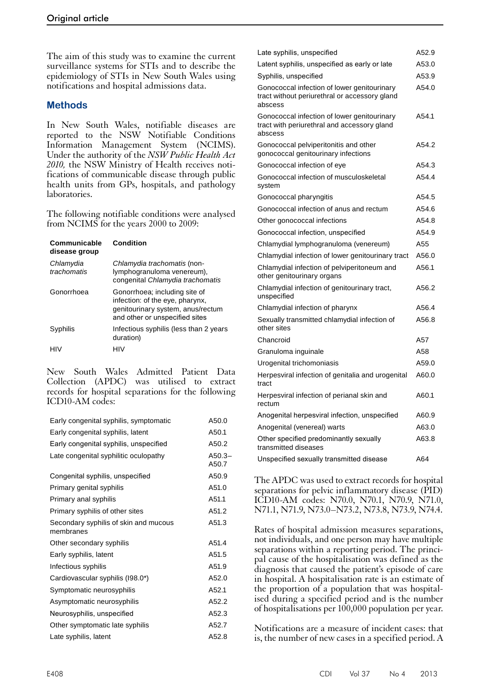The aim of this study was to examine the current surveillance systems for STIs and to describe the epidemiology of STIs in New South Wales using notifications and hospital admissions data.

# **Methods**

In New South Wales, notifiable diseases are reported to the NSW Notifiable Conditions Information Management System (NCIMS). Under the authority of the *NSW Public Health Act 2010,* the NSW Ministry of Health receives notifications of communicable disease through public health units from GPs, hospitals, and pathology laboratories.

The following notifiable conditions were analysed from NCIMS for the years 2000 to 2009:

| Communicable<br>disease group | Condition                                                                                                                               |
|-------------------------------|-----------------------------------------------------------------------------------------------------------------------------------------|
| Chlamydia<br>trachomatis      | Chlamydia trachomatis (non-<br>lymphogranuloma venereum),<br>congenital Chlamydia trachomatis                                           |
| Gonorrhoea                    | Gonorrhoea; including site of<br>infection: of the eye, pharynx,<br>genitourinary system, anus/rectum<br>and other or unspecified sites |
| Syphilis                      | Infectious syphilis (less than 2 years<br>duration)                                                                                     |
|                               | HIV                                                                                                                                     |

New South Wales Admitted Patient Data Collection (APDC) was utilised to extract records for hospital separations for the following ICD10-AM codes:

| Early congenital syphilis, symptomatic             | A50.0             |
|----------------------------------------------------|-------------------|
| Early congenital syphilis, latent                  | A50.1             |
| Early congenital syphilis, unspecified             | A50.2             |
| Late congenital syphilitic oculopathy              | $A50.3-$<br>A50.7 |
| Congenital syphilis, unspecified                   | A50.9             |
| Primary genital syphilis                           | A51.0             |
| Primary anal syphilis                              | A51.1             |
| Primary syphilis of other sites                    | A51.2             |
| Secondary syphilis of skin and mucous<br>membranes | A51.3             |
| Other secondary syphilis                           | A51.4             |
| Early syphilis, latent                             | A51.5             |
| Infectious syphilis                                | A51.9             |
| Cardiovascular syphilis (198.0*)                   | A52.0             |
| Symptomatic neurosyphilis                          | A52.1             |
| Asymptomatic neurosyphilis                         | A52.2             |
| Neurosyphilis, unspecified                         | A52.3             |
| Other symptomatic late syphilis                    | A52.7             |
| Late syphilis, latent                              | A52.8             |

| Late syphilis, unspecified                                                                              | A52.9 |
|---------------------------------------------------------------------------------------------------------|-------|
| Latent syphilis, unspecified as early or late                                                           | A53.0 |
| Syphilis, unspecified                                                                                   | A53.9 |
| Gonococcal infection of lower genitourinary<br>tract without periurethral or accessory gland<br>abscess | A54.0 |
| Gonococcal infection of lower genitourinary<br>tract with periurethral and accessory gland<br>abscess   | A54.1 |
| Gonococcal pelviperitonitis and other<br>gonococcal genitourinary infections                            | A54.2 |
| Gonococcal infection of eye                                                                             | A54.3 |
| Gonococcal infection of musculoskeletal<br>system                                                       | A54.4 |
| Gonococcal pharyngitis                                                                                  | A54.5 |
| Gonococcal infection of anus and rectum                                                                 | A54.6 |
| Other gonococcal infections                                                                             | A54.8 |
| Gonococcal infection, unspecified                                                                       | A54.9 |
| Chlamydial lymphogranuloma (venereum)                                                                   | A55   |
| Chlamydial infection of lower genitourinary tract                                                       | A56.0 |
| Chlamydial infection of pelviperitoneum and<br>other genitourinary organs                               | A56.1 |
| Chlamydial infection of genitourinary tract,<br>unspecified                                             | A56.2 |
| Chlamydial infection of pharynx                                                                         | A56.4 |
| Sexually transmitted chlamydial infection of<br>other sites                                             | A56.8 |
| Chancroid                                                                                               | A57   |
| Granuloma inguinale                                                                                     | A58   |
| Urogenital trichomoniasis                                                                               | A59.0 |
| Herpesviral infection of genitalia and urogenital<br>tract                                              | A60.0 |
| Herpesviral infection of perianal skin and<br>rectum                                                    | A60.1 |
| Anogenital herpesviral infection, unspecified                                                           | A60.9 |
| Anogenital (venereal) warts                                                                             | A63.0 |
| Other specified predominantly sexually<br>transmitted diseases                                          | A63.8 |
| Unspecified sexually transmitted disease                                                                | A64   |

The APDC was used to extract records for hospital separations for pelvic inflammatory disease (PID) ICD10-AM codes: N70.0, N70.1, N70.9, N71.0, N71.1, N71.9, N73.0–N73.2, N73.8, N73.9, N74.4.

Rates of hospital admission measures separations, not individuals, and one person may have multiple separations within a reporting period. The princi- pal cause of the hospitalisation was defined as the diagnosis that caused the patient's episode of care in hospital. A hospitalisation rate is an estimate of the proportion of a population that was hospital- ised during a specified period and is the number of hospitalisations per 100,000 population per year.

Notifications are a measure of incident cases: that is, the number of new cases in a specified period. A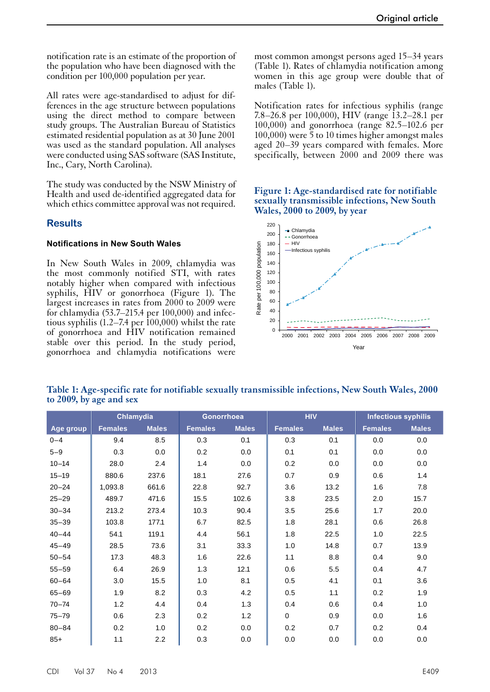notification rate is an estimate of the proportion of the population who have been diagnosed with the condition per 100,000 population per year.

All rates were age-standardised to adjust for differences in the age structure between populations using the direct method to compare between study groups. The Australian Bureau of Statistics estimated residential population as at 30 June 2001 was used as the standard population. All analyses were conducted using SAS software (SAS Institute, Inc., Cary, North Carolina).

The study was conducted by the NSW Ministry of Health and used de-identified aggregated data for which ethics committee approval was not required.

## **Results**

#### **Notifications in New South Wales**

In New South Wales in 2009, chlamydia was the most commonly notified STI, with rates notably higher when compared with infectious syphilis, HIV or gonorrhoea (Figure 1). The largest increases in rates from 2000 to 2009 were for chlamydia (53.7–215.4 per 100,000) and infectious syphilis  $(1.2-7.4 \text{ per } 100,000)$  whilst the rate of gonorrhoea and HIV notification remained stable over this period. In the study period, gonorrhoea and chlamydia notifications were

most common amongst persons aged 15–34 years (Table 1). Rates of chlamydia notification among women in this age group were double that of males (Table 1).

Notification rates for infectious syphilis (range 7.8–26.8 per 100,000), HIV (range 13.2–28.1 per 100,000) and gonorrhoea (range 82.5–102.6 per 100,000) were 5 to 10 times higher amongst males aged 20–39 years compared with females. More specifically, between 2000 and 2009 there was

## **Figure 1: Age-standardised rate for notifiable sexually transmissible infections, New South Wales, 2000 to 2009, by year**



**Table 1: Age-specific rate for notifiable sexually transmissible infections, New South Wales, 2000 to 2009, by age and sex**

|           |                | Chlamydia    | Gonorrhoea     |              | <b>HIV</b>     |              | <b>Infectious syphilis</b> |              |
|-----------|----------------|--------------|----------------|--------------|----------------|--------------|----------------------------|--------------|
| Age group | <b>Females</b> | <b>Males</b> | <b>Females</b> | <b>Males</b> | <b>Females</b> | <b>Males</b> | <b>Females</b>             | <b>Males</b> |
| $0 - 4$   | 9.4            | 8.5          | 0.3            | 0.1          | 0.3            | 0.1          | 0.0                        | $0.0\,$      |
| $5 - 9$   | 0.3            | 0.0          | 0.2            | 0.0          | 0.1            | 0.1          | 0.0                        | $0.0\,$      |
| $10 - 14$ | 28.0           | 2.4          | 1.4            | 0.0          | 0.2            | 0.0          | 0.0                        | 0.0          |
| $15 - 19$ | 880.6          | 237.6        | 18.1           | 27.6         | 0.7            | 0.9          | 0.6                        | 1.4          |
| $20 - 24$ | 1,093.8        | 661.6        | 22.8           | 92.7         | 3.6            | 13.2         | 1.6                        | 7.8          |
| $25 - 29$ | 489.7          | 471.6        | 15.5           | 102.6        | 3.8            | 23.5         | 2.0                        | 15.7         |
| $30 - 34$ | 213.2          | 273.4        | 10.3           | 90.4         | 3.5            | 25.6         | 1.7                        | 20.0         |
| $35 - 39$ | 103.8          | 177.1        | 6.7            | 82.5         | 1.8            | 28.1         | 0.6                        | 26.8         |
| $40 - 44$ | 54.1           | 119.1        | 4.4            | 56.1         | 1.8            | 22.5         | 1.0                        | 22.5         |
| $45 - 49$ | 28.5           | 73.6         | 3.1            | 33.3         | 1.0            | 14.8         | 0.7                        | 13.9         |
| $50 - 54$ | 17.3           | 48.3         | 1.6            | 22.6         | 1.1            | 8.8          | 0.4                        | 9.0          |
| $55 - 59$ | 6.4            | 26.9         | 1.3            | 12.1         | 0.6            | 5.5          | 0.4                        | 4.7          |
| $60 - 64$ | 3.0            | 15.5         | 1.0            | 8.1          | 0.5            | 4.1          | 0.1                        | 3.6          |
| $65 - 69$ | 1.9            | 8.2          | 0.3            | 4.2          | 0.5            | 1.1          | 0.2                        | 1.9          |
| $70 - 74$ | 1.2            | 4.4          | 0.4            | 1.3          | 0.4            | 0.6          | 0.4                        | 1.0          |
| $75 - 79$ | 0.6            | 2.3          | 0.2            | 1.2          | $\mathbf 0$    | 0.9          | 0.0                        | 1.6          |
| $80 - 84$ | 0.2            | 1.0          | 0.2            | 0.0          | 0.2            | 0.7          | 0.2                        | 0.4          |
| $85+$     | 1.1            | 2.2          | 0.3            | 0.0          | 0.0            | 0.0          | 0.0                        | 0.0          |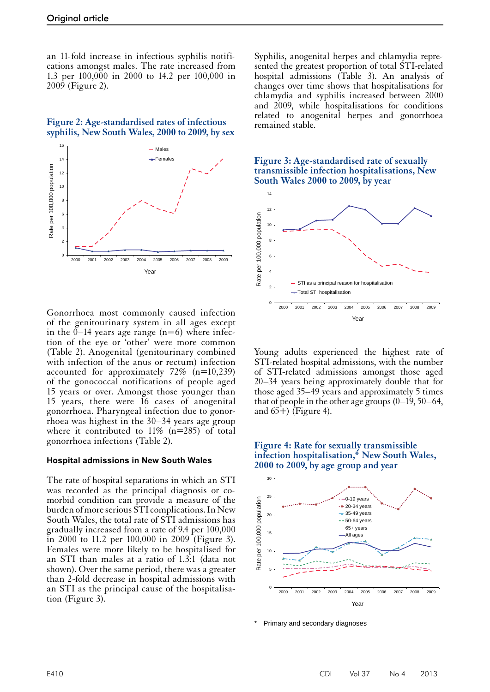an 11-fold increase in infectious syphilis notifications amongst males. The rate increased from 1.3 per 100,000 in 2000 to 14.2 per 100,000 in 2009 (Figure 2).

#### **Figure 2: Age-standardised rates of infectious syphilis, New South Wales, 2000 to 2009, by sex**



Gonorrhoea most commonly caused infection of the genitourinary system in all ages except in the  $0-14$  years age range (n=6) where infection of the eye or 'other' were more common (Table 2). Anogenital (genitourinary combined with infection of the anus or rectum) infection accounted for approximately 72% (n=10,239) of the gonococcal notifications of people aged 15 years or over. Amongst those younger than 15 years, there were 16 cases of anogenital gonorrhoea. Pharyngeal infection due to gonor- rhoea was highest in the 30–34 years age group where it contributed to  $11\%$  (n=285) of total gonorrhoea infections (Table 2).

#### **Hospital admissions in New South Wales**

The rate of hospital separations in which an STI was recorded as the principal diagnosis or comorbid condition can provide a measure of the burden of more serious STI complications. In New South Wales, the total rate of STI admissions has gradually increased from a rate of 9.4 per 100,000 in 2000 to 11.2 per 100,000 in 2009 (Figure 3). Females were more likely to be hospitalised for an STI than males at a ratio of 1.3:1 (data not shown). Over the same period, there was a greater than 2-fold decrease in hospital admissions with an STI as the principal cause of the hospitalisa- tion (Figure 3).

Syphilis, anogenital herpes and chlamydia represented the greatest proportion of total STI-related hospital admissions (Table 3). An analysis of changes over time shows that hospitalisations for chlamydia and syphilis increased between 2000 and 2009, while hospitalisations for conditions related to anogenital herpes and gonorrhoea remained stable.





Young adults experienced the highest rate of STI-related hospital admissions, with the number of STI-related admissions amongst those aged 20–34 years being approximately double that for those aged 35–49 years and approximately 5 times that of people in the other age groups  $(0-19, 50-64,$ and  $65+$ ) (Figure 4).

### **Figure 4: Rate for sexually transmissible infection hospitalisation,\* New South Wales, 2000 to 2009, by age group and year**



Primary and secondary diagnoses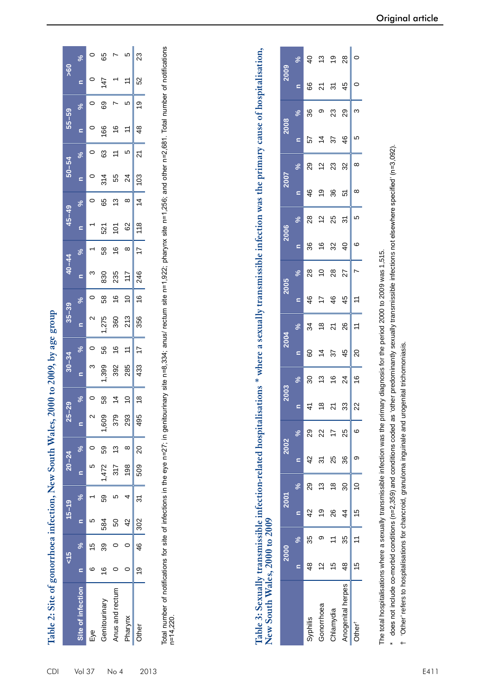| <b>NEW AGE OFFICER</b><br>いろう  |
|--------------------------------|
|                                |
| MOO                            |
|                                |
| S                              |
|                                |
|                                |
| ,,,,,,                         |
|                                |
| i                              |
|                                |
|                                |
|                                |
|                                |
|                                |
| the of conduction interface is |
|                                |
|                                |
| וטוב את כמו                    |
|                                |
|                                |
| Î<br>I                         |

CDI

| န္တ            | S              |                   | 65              |                      | ۱Ω            | 23             |
|----------------|----------------|-------------------|-----------------|----------------------|---------------|----------------|
|                |                |                   | 47              |                      |               | 52             |
| 55–59          | ೢೕ             |                   | တ္တ             |                      | Ю             | စ္             |
|                |                |                   | 88              | ဖ                    |               | 48             |
| $50 - 54$      | ℅              |                   | 63              |                      | ۱Ω            | 21             |
|                |                |                   | $\frac{314}{5}$ | 55                   | 24            | ဒ              |
| $65 - 49$      | ℅              |                   | 65              | ≌                    | ∞             |                |
|                |                |                   | 521             | Š<br>$\mathsf{R}$    | 29            | $\frac{8}{10}$ |
| $0 - 44$       | $\approx$      |                   | 58              | $\leq$               |               | 7              |
|                | c              |                   | 830             | 235                  |               | 246            |
|                | $\approx$      |                   | 58              | $\overset{\circ}{=}$ | ₽             | $\frac{6}{1}$  |
| $35 - 39$      | c              |                   | 275             | 360                  | <u>ನ</u>      | 356            |
|                | ಸಿ             |                   | 56              |                      | ╤             | ⊵              |
| $30 - 34$      | c              |                   | 399             | 392                  | 285           | 433            |
| ೧              | Ş              |                   | 58              | 4                    | S             | $\infty$       |
| $\mathbb{Z}^2$ | $\blacksquare$ | $\mathbf{\Omega}$ | ,609            | 379                  | 293           | 495            |
|                | %<br>%         |                   |                 |                      | $\infty$      |                |
| $20 - 24$      | $\mathbf{r}$   | Ю                 | 1,472 59        | 317 13               | 861           | 509 20         |
| $15 - 19$      | <b>Se</b>      |                   | 59              | Ю                    |               | $\frac{1}{3}$  |
|                | $\mathbf{r}$   | ഥ                 | 584             | 50                   | $\frac{2}{3}$ |                |
| $\frac{5}{5}$  | ve<br>Ve       | $\frac{5}{2}$     | 39              |                      |               | 19 46 302      |
|                | S              |                   | $\frac{6}{5}$   |                      |               |                |
|                | ite of infect  | Eye               | Genitourinary   | Anus and rectum      | Pharynx       | Dthei          |

Total number of notifications for site of infections in the eye n=27; in genitourinary site n=8,334; anus/ rectum site n=1,922; pharynx site n=1,256; and other n=2,681. Total number of notifications Total number of notifications for site of infections in the eye n=27; in genitourinary site n=8,334; anus/ rectum site n=1,922; pharynx site n=1,256; and other n=2,681. Total number of notifications<br>n=14,220. Table 3: Sexually transmissible infection-related hospitalisations \* where a sexually transmissible infection was the primary cause of hospitalisation,<br>New South Wales, 2000 to 2009 **Table 3: Sexually transmissible infection-related hospitalisations \* where a sexually transmissible infection was the primary cause of hospitalisation, New South Wales, 2000 to 2009**

|                   |               | 2000 | <b>2001</b>   |               | 2002          |                | 2003         |                          | 2004           |                           | 2005         |               | 2006                           |               | 2007         |    | 2008     |     | 2009     |                          |
|-------------------|---------------|------|---------------|---------------|---------------|----------------|--------------|--------------------------|----------------|---------------------------|--------------|---------------|--------------------------------|---------------|--------------|----|----------|-----|----------|--------------------------|
|                   | $\subseteq$   | se.  |               | $\frac{5}{6}$ | $\mathbf{C}$  | ಸಿ             | $\mathbf{r}$ | $\overline{\mathcal{S}}$ | $\equiv$       | ್ನೇ                       | $\mathbf{r}$ | ್ನೇ           | $\mathbf{C}$                   | ್ನೇ           | $\mathbf{r}$ | ್ಥ | $\equiv$ | ್ನೇ | $\equiv$ | $\overline{\mathcal{S}}$ |
| vphilis           | $\frac{8}{3}$ | 35   | $\frac{2}{3}$ | 29            | $\frac{2}{3}$ | 29             | 41           | 30                       | 8              | 34                        | 46           | $\frac{8}{2}$ | 36                             | $\frac{8}{2}$ | 46           | 29 | 57       | 36  | 89       | $\overline{6}$           |
| concrrhoea        | $\tilde{c}$   |      | စ္            | ≌             | స్            | $\overline{2}$ | ₽            | చ                        | $\overline{4}$ | $\overset{\infty}{\cdot}$ | ⊵            | ₽             | $\overset{\circ}{\rightarrow}$ | $\tilde{c}$   | စ္           | 으  | ⋣        | თ   | 21       | చ                        |
| hlamydia          | 10            |      | 26            | ₽             | 25            | $\overline{1}$ | 24           | $\frac{6}{5}$            | 37             | ភ                         | 46           | $\frac{8}{2}$ | 32                             | 25            | 36           | 23 | 37       | 23  | స్       | ë                        |
| Anogenital herpes | $\frac{8}{4}$ | 35   | $\frac{4}{4}$ | 30            | 36            | 25             | 33           | 24                       | 45             | 26                        | 45           | 27            | $\overline{6}$                 | 31            | 5            | 32 | 46       | 29  | 45       | 8                        |
| <b>Tther</b>      | 15            |      | $\frac{5}{2}$ |               |               | ဖ              | 22           | $\frac{6}{5}$            | 20             | $\overline{ }$            | Ξ            |               | ဖ                              | ഥ             | ∞            | ∞  | ഥ        | ო   |          | ⊃                        |
|                   |               |      |               |               |               |                |              |                          |                |                           |              |               |                                |               |              |    |          |     |          |                          |

The total hospitalisations where a sexually transmissible infection was the primary diagnosis for the period 2000 to 2009 was 1,515. The total hospitalisations where a sexually transmissible infection was the primary diagnosis for the period 2000 to 2009 was 1,515.

\* does not include co-morbid conditions (n=2,359) and conditions coded as 'other predominantly sexually transmissible infections not elsewhere specified' (n=3,092). does not include co-morbid conditions (n=2,359) and conditions coded as 'other predominantly sexually transmissible infections not elsewhere specified' (n=3,092).

† 'Other' refers to hospitalisations for chancroid, granuloma inguinale and urogenital trichomoniasis. 'Other' refers to hospitalisations for chancroid, granuloma inguinale and urogenital trichomoniasis.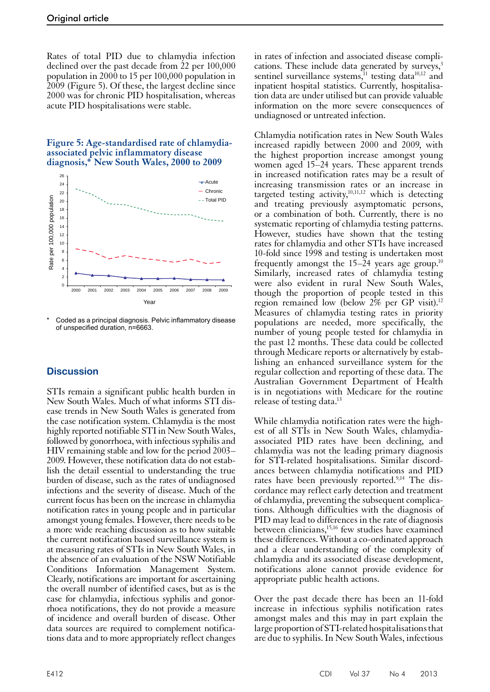Rates of total PID due to chlamydia infection declined over the past decade from 22 per 100,000 population in 2000 to 15 per 100,000 population in 2009 (Figure 5). Of these, the largest decline since 2000 was for chronic PID hospitalisation, whereas acute PID hospitalisations were stable.

## **Figure 5: Age-standardised rate of chlamydiaassociated pelvic inflammatory disease diagnosis,\* New South Wales, 2000 to 2009**



Coded as a principal diagnosis. Pelvic inflammatory disease of unspecified duration, n=6663.

# **Discussion**

STIs remain a significant public health burden in New South Wales. Much of what informs STI dis- ease trends in New South Wales is generated from the case notification system. Chlamydia is the most highly reported notifiable STI in New South Wales, followed by gonorrhoea, with infectious syphilis and HIV remaining stable and low for the period 2003– 2009. However, these notification data do not estab- lish the detail essential to understanding the true burden of disease, such as the rates of undiagnosed infections and the severity of disease. Much of the current focus has been on the increase in chlamydia notification rates in young people and in particular amongst young females. However, there needs to be a more wide reaching discussion as to how suitable the current notification based surveillance system is at measuring rates of STIs in New South Wales, in the absence of an evaluation of the NSW Notifiable Conditions Information Management System. Clearly, notifications are important for ascertaining the overall number of identified cases, but as is the case for chlamydia, infectious syphilis and gonorrhoea notifications, they do not provide a measure of incidence and overall burden of disease. Other data sources are required to complement notifica- tions data and to more appropriately reflect changes

in rates of infection and associated disease complications. These include data generated by surveys, $3$ sentinel surveillance systems, $11$  testing data $10,12$  and inpatient hospital statistics. Currently, hospitalisation data are under utilised but can provide valuable information on the more severe consequences of undiagnosed or untreated infection.

Chlamydia notification rates in New South Wales increased rapidly between 2000 and 2009, with the highest proportion increase amongst young women aged 15–24 years. These apparent trends in increased notification rates may be a result of increasing transmission rates or an increase in targeted testing activity,<sup>10,11,12</sup> which is detecting and treating previously asymptomatic persons, or a combination of both. Currently, there is no systematic reporting of chlamydia testing patterns. However, studies have shown that the testing rates for chlamydia and other STIs have increased 10-fold since 1998 and testing is undertaken most frequently amongst the  $15-24$  years age group.<sup>10</sup> Similarly, increased rates of chlamydia testing were also evident in rural New South Wales, though the proportion of people tested in this region remained low (below 2% per GP visit).12 Measures of chlamydia testing rates in priority populations are needed, more specifically, the number of young people tested for chlamydia in the past 12 months. These data could be collected through Medicare reports or alternatively by establishing an enhanced surveillance system for the regular collection and reporting of these data. The Australian Government Department of Health is in negotiations with Medicare for the routine release of testing data.<sup>13</sup>

While chlamydia notification rates were the high-<br>est of all STIs in New South Wales, chlamydiaassociated PID rates have been declining, and chlamydia was not the leading primary diagnosis for STI-related hospitalisations. Similar discord- ances between chlamydia notifications and PID rates have been previously reported.<sup>9,14</sup> The discordance may reflect early detection and treatment of chlamydia, preventing the subsequent complications. Although difficulties with the diagnosis of PID may lead to differences in the rate of diagnosis between clinicians,<sup>15,16</sup> few studies have examined these differences. Without a co-ordinated approach and a clear understanding of the complexity of chlamydia and its associated disease development, notifications alone cannot provide evidence for appropriate public health actions.

Over the past decade there has been an 11-fold increase in infectious syphilis notification rates amongst males and this may in part explain the large proportion of STI-related hospitalisations that are due to syphilis. In New South Wales, infectious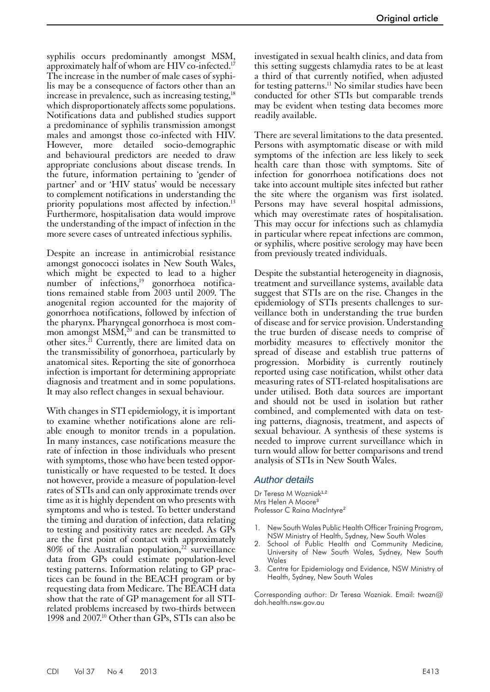syphilis occurs predominantly amongst MSM, approximately half of whom are HIV co-infected.<sup>17</sup> The increase in the number of male cases of syphilis may be a consequence of factors other than an increase in prevalence, such as increasing testing, $18$ which disproportionately affects some populations. Notifications data and published studies support a predominance of syphilis transmission amongst males and amongst those co-infected with HIV. However, more detailed socio-demographic and behavioural predictors are needed to draw appropriate conclusions about disease trends. In the future, information pertaining to 'gender of partner' and or 'HIV status' would be necessary to complement notifications in understanding the priority populations most affected by infection.<sup>13</sup> Furthermore, hospitalisation data would improve the understanding of the impact of infection in the more severe cases of untreated infectious syphilis.

Despite an increase in antimicrobial resistance amongst gonococci isolates in New South Wales, which might be expected to lead to a higher number of infections,<sup>19</sup> gonorrhoea notifications remained stable from 2003 until 2009. The anogenital region accounted for the majority of gonorrhoea notifications, followed by infection of the pharynx. Pharyngeal gonorrhoea is most common amongst  $\text{MSM}^{\text{20}}$  and can be transmitted to other sites. $^{21}$  Currently, there are limited data on the transmissibility of gonorrhoea, particularly by anatomical sites. Reporting the site of gonorrhoea infection is important for determining appropriate diagnosis and treatment and in some populations. It may also reflect changes in sexual behaviour.

With changes in STI epidemiology, it is important to examine whether notifications alone are reli- able enough to monitor trends in a population. In many instances, case notifications measure the rate of infection in those individuals who present with symptoms, those who have been tested oppor- tunistically or have requested to be tested. It does not however, provide a measure of population-level rates of STIs and can only approximate trends over time as it is highly dependent on who presents with symptoms and who is tested. To better understand the timing and duration of infection, data relating to testing and positivity rates are needed. As GPs are the first point of contact with approximately 80% of the Australian population, $2^2$  surveillance data from GPs could estimate population-level testing patterns. Information relating to GP prac- tices can be found in the BEACH program or by requesting data from Medicare. The BEACH data show that the rate of GP management for all STIrelated problems increased by two-thirds between 1998 and 2007.10 Other than GPs, STIs can also be

investigated in sexual health clinics, and data from this setting suggests chlamydia rates to be at least a third of that currently notified, when adjusted for testing patterns.<sup>11</sup> No similar studies have been conducted for other STIs but comparable trends may be evident when testing data becomes more readily available.

There are several limitations to the data presented. Persons with asymptomatic disease or with mild symptoms of the infection are less likely to seek health care than those with symptoms. Site of infection for gonorrhoea notifications does not take into account multiple sites infected but rather the site where the organism was first isolated. Persons may have several hospital admissions, which may overestimate rates of hospitalisation. This may occur for infections such as chlamydia in particular where repeat infections are common, or syphilis, where positive serology may have been from previously treated individuals.

Despite the substantial heterogeneity in diagnosis, treatment and surveillance systems, available data suggest that STIs are on the rise. Changes in the epidemiology of STIs presents challenges to surveillance both in understanding the true burden of disease and for service provision. Understanding the true burden of disease needs to comprise of morbidity measures to effectively monitor the spread of disease and establish true patterns of progression. Morbidity is currently routinely reported using case notification, whilst other data measuring rates of STI-related hospitalisations are under utilised. Both data sources are important and should not be used in isolation but rather combined, and complemented with data on test- ing patterns, diagnosis, treatment, and aspects of sexual behaviour. A synthesis of these systems is needed to improve current surveillance which in turn would allow for better comparisons and trend analysis of STIs in New South Wales.

## *Author details*

Dr Teresa M Wozniak<sup>1,2</sup> Mrs Helen A Moore<sup>3</sup> Professor C Raina MacIntyre<sup>2</sup>

- 1. New South Wales Public Health Officer Training Program, NSW Ministry of Health, Sydney, New South Wales
- School of Public Health and Community Medicine, University of New South Wales, Sydney, New South Wales
- 3. Centre for Epidemiology and Evidence, NSW Ministry of Health, Sydney, New South Wales

Corresponding author: Dr Teresa Wozniak. Email: [twozn@](mailto:twozn@doh.health.nsw.gov.au) [doh.health.nsw.gov.au](mailto:twozn@doh.health.nsw.gov.au)